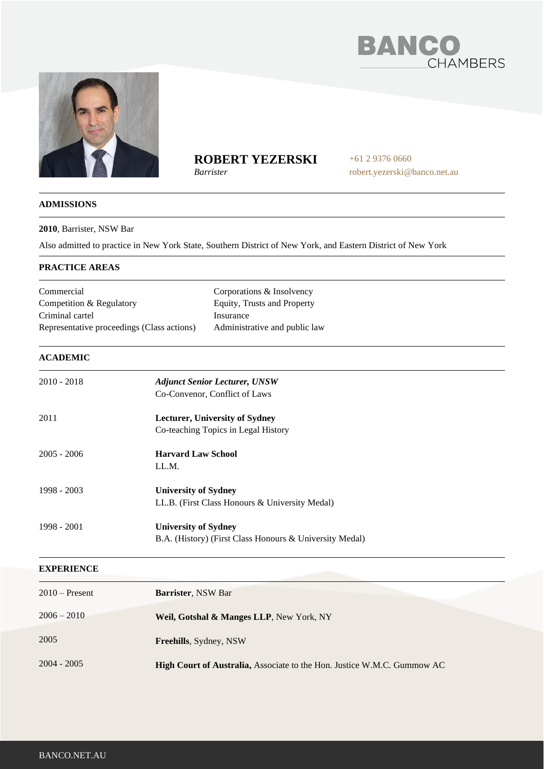



# **ROBERT YEZERSKI**

*Barrister*

+61 2 9376 0660 robert.yezerski@banco.net.au

# **ADMISSIONS**

### **2010**, Barrister, NSW Bar

Also admitted to practice in New York State, Southern District of New York, and Eastern District of New York

# **PRACTICE AREAS**

| Commercial<br>Competition & Regulatory<br>Criminal cartel<br>Representative proceedings (Class actions) |                                                                                        | Corporations & Insolvency<br>Equity, Trusts and Property<br>Insurance<br>Administrative and public law |  |
|---------------------------------------------------------------------------------------------------------|----------------------------------------------------------------------------------------|--------------------------------------------------------------------------------------------------------|--|
| <b>ACADEMIC</b>                                                                                         |                                                                                        |                                                                                                        |  |
| 2010 - 2018                                                                                             | <b>Adjunct Senior Lecturer, UNSW</b><br>Co-Convenor, Conflict of Laws                  |                                                                                                        |  |
| 2011                                                                                                    |                                                                                        | <b>Lecturer, University of Sydney</b><br>Co-teaching Topics in Legal History                           |  |
| 2005 - 2006                                                                                             | <b>Harvard Law School</b><br>LL.M.                                                     |                                                                                                        |  |
| 1998 - 2003                                                                                             | <b>University of Sydney</b>                                                            | LL.B. (First Class Honours & University Medal)                                                         |  |
| 1998 - 2001                                                                                             | <b>University of Sydney</b><br>B.A. (History) (First Class Honours & University Medal) |                                                                                                        |  |
| <b>EXPERIENCE</b>                                                                                       |                                                                                        |                                                                                                        |  |
| 2010 – Present                                                                                          | <b>Rarrister NSW Rar</b>                                                               |                                                                                                        |  |

| $2010$ – Present | <b>Barrister, NSW Bar</b>                                               |
|------------------|-------------------------------------------------------------------------|
| $2006 - 2010$    | <b>Weil, Gotshal &amp; Manges LLP, New York, NY</b>                     |
| 2005             | <b>Freehills, Sydney, NSW</b>                                           |
| $2004 - 2005$    | High Court of Australia, Associate to the Hon. Justice W.M.C. Gummow AC |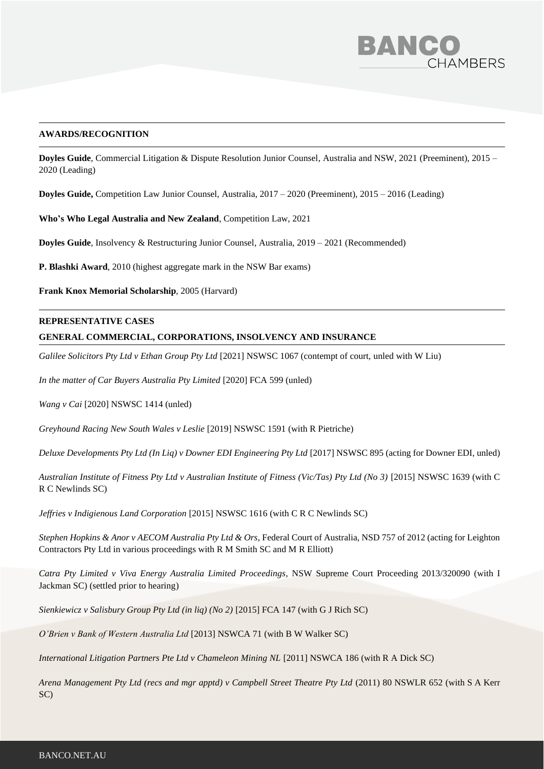

### **AWARDS/RECOGNITION**

**Doyles Guide**, Commercial Litigation & Dispute Resolution Junior Counsel, Australia and NSW, 2021 (Preeminent), 2015 – 2020 (Leading)

**Doyles Guide,** Competition Law Junior Counsel, Australia, 2017 – 2020 (Preeminent), 2015 – 2016 (Leading)

**Who's Who Legal Australia and New Zealand**, Competition Law, 2021

**Doyles Guide**, Insolvency & Restructuring Junior Counsel, Australia, 2019 – 2021 (Recommended)

**P. Blashki Award**, 2010 (highest aggregate mark in the NSW Bar exams)

**Frank Knox Memorial Scholarship**, 2005 (Harvard)

#### **REPRESENTATIVE CASES**

# **GENERAL COMMERCIAL, CORPORATIONS, INSOLVENCY AND INSURANCE**

*Galilee Solicitors Pty Ltd v Ethan Group Pty Ltd* [2021] NSWSC 1067 (contempt of court, unled with W Liu)

*In the matter of Car Buyers Australia Pty Limited* [2020] FCA 599 (unled)

*Wang v Cai* [2020] NSWSC 1414 (unled)

*Greyhound Racing New South Wales v Leslie* [2019] NSWSC 1591 (with R Pietriche)

*Deluxe Developments Pty Ltd (In Liq) v Downer EDI Engineering Pty Ltd* [2017] NSWSC 895 (acting for Downer EDI, unled)

*Australian Institute of Fitness Pty Ltd v Australian Institute of Fitness (Vic/Tas) Pty Ltd (No 3)* [2015] NSWSC 1639 (with C R C Newlinds SC)

*Jeffries v Indigienous Land Corporation* [2015] NSWSC 1616 (with C R C Newlinds SC)

*Stephen Hopkins & Anor v AECOM Australia Pty Ltd & Ors*, Federal Court of Australia, NSD 757 of 2012 (acting for Leighton Contractors Pty Ltd in various proceedings with R M Smith SC and M R Elliott)

*Catra Pty Limited v Viva Energy Australia Limited Proceedings*, NSW Supreme Court Proceeding 2013/320090 (with I Jackman SC) (settled prior to hearing)

*Sienkiewicz v Salisbury Group Pty Ltd (in liq) (No 2)* [2015] FCA 147 (with G J Rich SC)

*O'Brien v Bank of Western Australia Ltd* [2013] NSWCA 71 (with B W Walker SC)

*International Litigation Partners Pte Ltd v Chameleon Mining NL* [2011] NSWCA 186 (with R A Dick SC)

*Arena Management Pty Ltd (recs and mgr apptd) v Campbell Street Theatre Pty Ltd* (2011) 80 NSWLR 652 (with S A Kerr SC)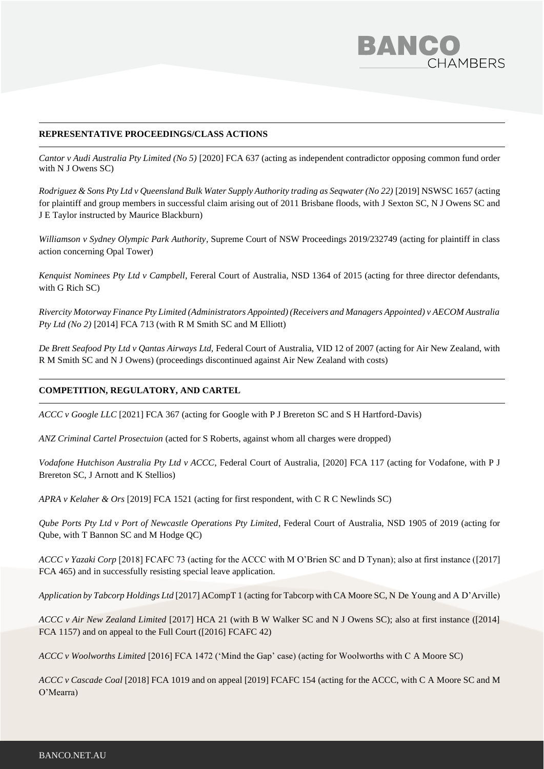

# **REPRESENTATIVE PROCEEDINGS/CLASS ACTIONS**

*Cantor v Audi Australia Pty Limited (No 5)* [2020] FCA 637 (acting as independent contradictor opposing common fund order with N J Owens SC)

*Rodriguez & Sons Pty Ltd v Queensland Bulk Water Supply Authority trading as Seqwater (No 22)* [2019] NSWSC 1657 (acting for plaintiff and group members in successful claim arising out of 2011 Brisbane floods, with J Sexton SC, N J Owens SC and J E Taylor instructed by Maurice Blackburn)

*Williamson v Sydney Olympic Park Authority*, Supreme Court of NSW Proceedings 2019/232749 (acting for plaintiff in class action concerning Opal Tower)

*Kenquist Nominees Pty Ltd v Campbell*, Fereral Court of Australia, NSD 1364 of 2015 (acting for three director defendants, with G Rich SC)

*Rivercity Motorway Finance Pty Limited (Administrators Appointed) (Receivers and Managers Appointed) v AECOM Australia Pty Ltd (No 2)* [2014] FCA 713 (with R M Smith SC and M Elliott)

*De Brett Seafood Pty Ltd v Qantas Airways Ltd,* Federal Court of Australia, VID 12 of 2007 (acting for Air New Zealand, with R M Smith SC and N J Owens) (proceedings discontinued against Air New Zealand with costs)

#### **COMPETITION, REGULATORY, AND CARTEL**

*ACCC v Google LLC* [2021] FCA 367 (acting for Google with P J Brereton SC and S H Hartford-Davis)

*ANZ Criminal Cartel Prosectuion* (acted for S Roberts, against whom all charges were dropped)

*Vodafone Hutchison Australia Pty Ltd v ACCC*, Federal Court of Australia, [2020] FCA 117 (acting for Vodafone, with P J Brereton SC, J Arnott and K Stellios)

*APRA v Kelaher & Ors* [2019] FCA 1521 (acting for first respondent, with C R C Newlinds SC)

*Qube Ports Pty Ltd v Port of Newcastle Operations Pty Limited*, Federal Court of Australia, NSD 1905 of 2019 (acting for Qube, with T Bannon SC and M Hodge QC)

*ACCC v Yazaki Corp* [2018] FCAFC 73 (acting for the ACCC with M O'Brien SC and D Tynan); also at first instance ([2017] FCA 465) and in successfully resisting special leave application.

*Application by Tabcorp Holdings Ltd* [2017] ACompT 1 (acting for Tabcorp with CA Moore SC, N De Young and A D'Arville)

*ACCC v Air New Zealand Limited* [2017] HCA 21 (with B W Walker SC and N J Owens SC); also at first instance ([2014] FCA 1157) and on appeal to the Full Court ([2016] FCAFC 42)

*ACCC v Woolworths Limited* [2016] FCA 1472 ('Mind the Gap' case) (acting for Woolworths with C A Moore SC)

*ACCC v Cascade Coal* [2018] FCA 1019 and on appeal [2019] FCAFC 154 (acting for the ACCC, with C A Moore SC and M O'Mearra)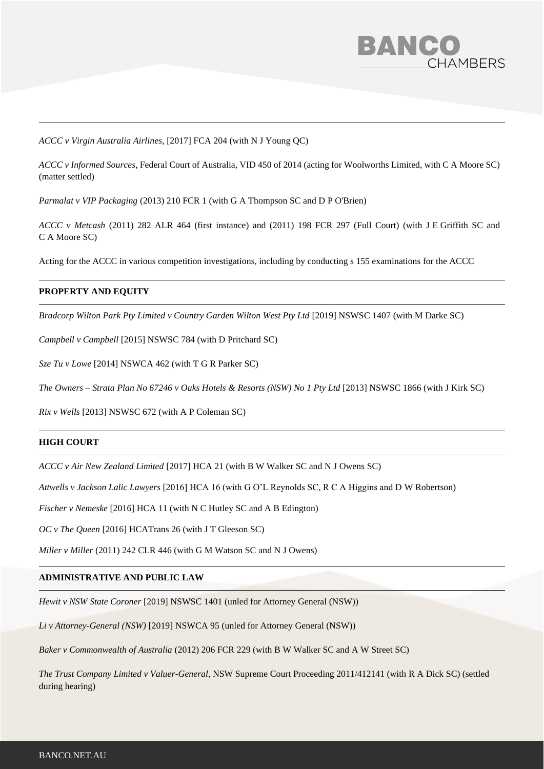

*ACCC v Virgin Australia Airlines*, [2017] FCA 204 (with N J Young QC)

*ACCC v Informed Sources*, Federal Court of Australia, VID 450 of 2014 (acting for Woolworths Limited, with C A Moore SC) (matter settled)

*Parmalat v VIP Packaging* (2013) 210 FCR 1 (with G A Thompson SC and D P O'Brien)

*ACCC v Metcash* (2011) 282 ALR 464 (first instance) and (2011) 198 FCR 297 (Full Court) (with J E Griffith SC and C A Moore SC)

Acting for the ACCC in various competition investigations, including by conducting s 155 examinations for the ACCC

#### **PROPERTY AND EQUITY**

*Bradcorp Wilton Park Pty Limited v Country Garden Wilton West Pty Ltd* [2019] NSWSC 1407 (with M Darke SC)

*Campbell v Campbell* [2015] NSWSC 784 (with D Pritchard SC)

*Sze Tu v Lowe* [2014] NSWCA 462 (with T G R Parker SC)

*The Owners – Strata Plan No 67246 v Oaks Hotels & Resorts (NSW) No 1 Pty Ltd* [2013] NSWSC 1866 (with J Kirk SC)

*Rix v Wells* [2013] NSWSC 672 (with A P Coleman SC)

# **HIGH COURT**

*ACCC v Air New Zealand Limited* [2017] HCA 21 (with B W Walker SC and N J Owens SC)

*Attwells v Jackson Lalic Lawyers* [2016] HCA 16 (with G O'L Reynolds SC, R C A Higgins and D W Robertson)

*Fischer v Nemeske* [2016] HCA 11 (with N C Hutley SC and A B Edington)

*OC v The Queen* [2016] HCATrans 26 (with J T Gleeson SC)

*Miller v Miller* (2011) 242 CLR 446 (with G M Watson SC and N J Owens)

# **ADMINISTRATIVE AND PUBLIC LAW**

*Hewit v NSW State Coroner* [2019] NSWSC 1401 (unled for Attorney General (NSW))

*Li v Attorney-General (NSW)* [2019] NSWCA 95 (unled for Attorney General (NSW))

*Baker v Commonwealth of Australia* (2012) 206 FCR 229 (with B W Walker SC and A W Street SC)

*The Trust Company Limited v Valuer-General,* NSW Supreme Court Proceeding 2011/412141 (with R A Dick SC) (settled during hearing)